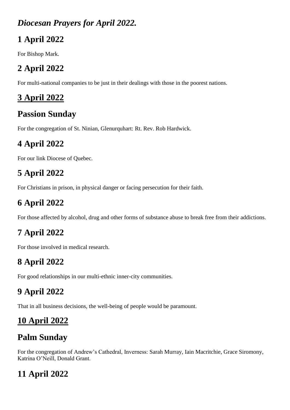#### *Diocesan Prayers for April 2022.*

## **1 April 2022**

For Bishop Mark.

# **2 April 2022**

For multi-national companies to be just in their dealings with those in the poorest nations.

## **3 April 2022**

## **Passion Sunday**

For the congregation of St. Ninian, Glenurquhart: Rt. Rev. Rob Hardwick.

# **4 April 2022**

For our link Diocese of Quebec.

# **5 April 2022**

For Christians in prison, in physical danger or facing persecution for their faith.

# **6 April 2022**

For those affected by alcohol, drug and other forms of substance abuse to break free from their addictions.

## **7 April 2022**

For those involved in medical research.

## **8 April 2022**

For good relationships in our multi-ethnic inner-city communities.

## **9 April 2022**

That in all business decisions, the well-being of people would be paramount.

## **10 April 2022**

## **Palm Sunday**

For the congregation of Andrew's Cathedral, Inverness: Sarah Murray, Iain Macritchie, Grace Siromony, Katrina O'Neill, Donald Grant.

# **11 April 2022**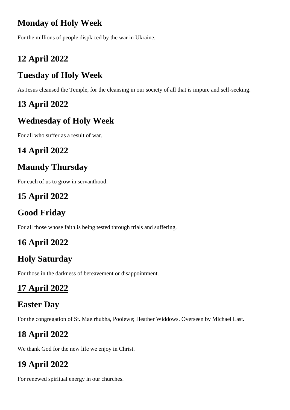#### **Monday of Holy Week**

For the millions of people displaced by the war in Ukraine.

#### **12 April 2022**

#### **Tuesday of Holy Week**

As Jesus cleansed the Temple, for the cleansing in our society of all that is impure and self-seeking.

#### **13 April 2022**

#### **Wednesday of Holy Week**

For all who suffer as a result of war.

#### **14 April 2022**

#### **Maundy Thursday**

For each of us to grow in servanthood.

### **15 April 2022**

#### **Good Friday**

For all those whose faith is being tested through trials and suffering.

#### **16 April 2022**

#### **Holy Saturday**

For those in the darkness of bereavement or disappointment.

#### **17 April 2022**

#### **Easter Day**

For the congregation of St. Maelrhubha, Poolewe; Heather Widdows. Overseen by Michael Last.

## **18 April 2022**

We thank God for the new life we enjoy in Christ.

## **19 April 2022**

For renewed spiritual energy in our churches.